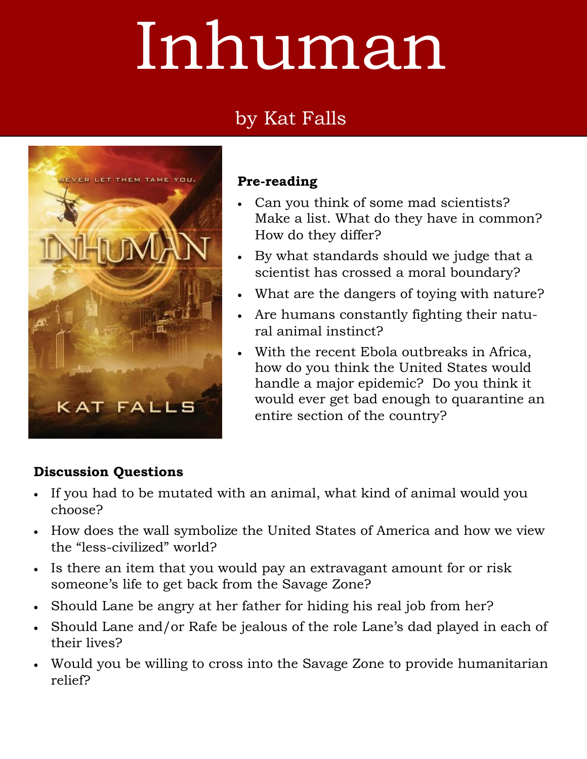# Inhuman

# by Kat Falls



#### **Pre-reading**

- Can you think of some mad scientists? Make a list. What do they have in common? How do they differ?
- By what standards should we judge that a scientist has crossed a moral boundary?
- What are the dangers of toying with nature?
- Are humans constantly fighting their natural animal instinct?
- With the recent Ebola outbreaks in Africa, how do you think the United States would handle a major epidemic? Do you think it would ever get bad enough to quarantine an entire section of the country?

## **Discussion Questions**

- If you had to be mutated with an animal, what kind of animal would you choose?
- How does the wall symbolize the United States of America and how we view the "less-civilized" world?
- Is there an item that you would pay an extravagant amount for or risk someone's life to get back from the Savage Zone?
- Should Lane be angry at her father for hiding his real job from her?
- Should Lane and/or Rafe be jealous of the role Lane's dad played in each of their lives?
- Would you be willing to cross into the Savage Zone to provide humanitarian relief?